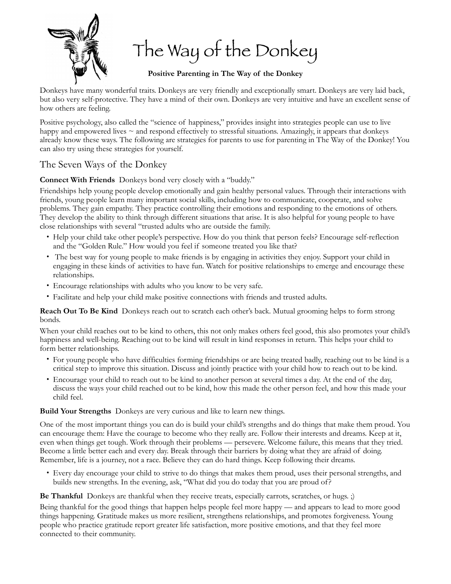

The Way of the Donkey

**Positive Parenting in The Way of the Donkey** 

Donkeys have many wonderful traits. Donkeys are very friendly and exceptionally smart. Donkeys are very laid back, but also very self-protective. They have a mind of their own. Donkeys are very intuitive and have an excellent sense of how others are feeling.

Positive psychology, also called the "science of happiness," provides insight into strategies people can use to live happy and empowered lives  $\sim$  and respond effectively to stressful situations. Amazingly, it appears that donkeys already know these ways. The following are strategies for parents to use for parenting in The Way of the Donkey! You can also try using these strategies for yourself.

## The Seven Ways of the Donkey

**Connect With Friends** Donkeys bond very closely with a "buddy."

Friendships help young people develop emotionally and gain healthy personal values. Through their interactions with friends, young people learn many important social skills, including how to communicate, cooperate, and solve problems. They gain empathy. They practice controlling their emotions and responding to the emotions of others. They develop the ability to think through different situations that arise. It is also helpful for young people to have close relationships with several "trusted adults who are outside the family.

- Help your child take other people's perspective. How do you think that person feels? Encourage self-reflection and the "Golden Rule." How would you feel if someone treated you like that?
- The best way for young people to make friends is by engaging in activities they enjoy. Support your child in engaging in these kinds of activities to have fun. Watch for positive relationships to emerge and encourage these relationships.
- Encourage relationships with adults who you know to be very safe.
- Facilitate and help your child make positive connections with friends and trusted adults.

**Reach Out To Be Kind** Donkeys reach out to scratch each other's back. Mutual grooming helps to form strong bonds.

When your child reaches out to be kind to others, this not only makes others feel good, this also promotes your child's happiness and well-being. Reaching out to be kind will result in kind responses in return. This helps your child to form better relationships.

- For young people who have difficulties forming friendships or are being treated badly, reaching out to be kind is a critical step to improve this situation. Discuss and jointly practice with your child how to reach out to be kind.
- Encourage your child to reach out to be kind to another person at several times a day. At the end of the day, discuss the ways your child reached out to be kind, how this made the other person feel, and how this made your child feel.

**Build Your Strengths** Donkeys are very curious and like to learn new things.

One of the most important things you can do is build your child's strengths and do things that make them proud. You can encourage them: Have the courage to become who they really are. Follow their interests and dreams. Keep at it, even when things get tough. Work through their problems — persevere. Welcome failure, this means that they tried. Become a little better each and every day. Break through their barriers by doing what they are afraid of doing. Remember, life is a journey, not a race. Believe they can do hard things. Keep following their dreams.

• Every day encourage your child to strive to do things that makes them proud, uses their personal strengths, and builds new strengths. In the evening, ask, "What did you do today that you are proud of?

**Be Thankful** Donkeys are thankful when they receive treats, especially carrots, scratches, or hugs. ;)

Being thankful for the good things that happen helps people feel more happy — and appears to lead to more good things happening. Gratitude makes us more resilient, strengthens relationships, and promotes forgiveness. Young people who practice gratitude report greater life satisfaction, more positive emotions, and that they feel more connected to their community.